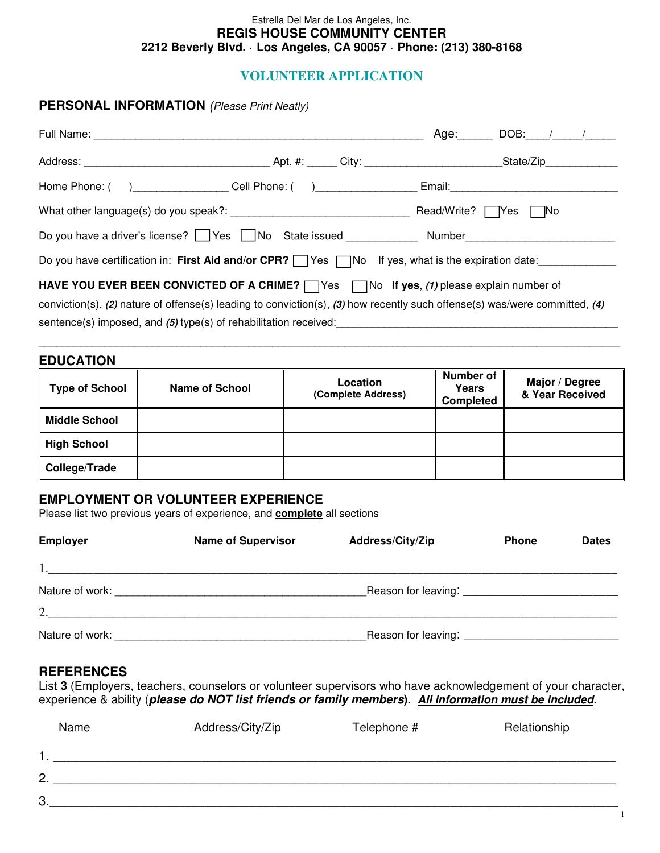#### Estrella Del Mar de Los Angeles, Inc. **REGIS HOUSE COMMUNITY CENTER 2212 Beverly Blvd. · Los Angeles, CA 90057 · Phone: (213) 380-8168**

## **VOLUNTEER APPLICATION**

#### **PERSONAL INFORMATION** (Please Print Neatly)

| Full Name: Manner And Manner Manner Manner Manner Manner Manner Manner Manner Manner Manner Manner Manner Manner Manner Manner Manner Manner Manner Manner Manner Manner Manner Manner Manner Manner Manner Manner Manner Mann |  | $Age:$ DOB: $\angle$                |  |
|--------------------------------------------------------------------------------------------------------------------------------------------------------------------------------------------------------------------------------|--|-------------------------------------|--|
|                                                                                                                                                                                                                                |  |                                     |  |
|                                                                                                                                                                                                                                |  |                                     |  |
|                                                                                                                                                                                                                                |  | Read/Write? $\Box$ Yes<br>$\neg$ No |  |
| Do you have a driver's license? Yes No State issued Number Number                                                                                                                                                              |  |                                     |  |
| Do you have certification in: First Aid and/or CPR? Ves no If yes, what is the expiration date:                                                                                                                                |  |                                     |  |
| <b>HAVE YOU EVER BEEN CONVICTED OF A CRIME?</b> $\Box$ Yes $\Box$ No If yes, (1) please explain number of                                                                                                                      |  |                                     |  |
| conviction(s), (2) nature of offense(s) leading to conviction(s), (3) how recently such offense(s) was/were committed, (4)                                                                                                     |  |                                     |  |
| sentence(s) imposed, and (5) type(s) of rehabilitation received:                                                                                                                                                               |  |                                     |  |

### **EDUCATION**

| <b>Type of School</b> | <b>Name of School</b> | Location<br>(Complete Address) | Number of<br>Years<br><b>Completed</b> | Major / Degree<br>& Year Received |
|-----------------------|-----------------------|--------------------------------|----------------------------------------|-----------------------------------|
| <b>Middle School</b>  |                       |                                |                                        |                                   |
| <b>High School</b>    |                       |                                |                                        |                                   |
| College/Trade         |                       |                                |                                        |                                   |

\_\_\_\_\_\_\_\_\_\_\_\_\_\_\_\_\_\_\_\_\_\_\_\_\_\_\_\_\_\_\_\_\_\_\_\_\_\_\_\_\_\_\_\_\_\_\_\_\_\_\_\_\_\_\_\_\_\_\_\_\_\_\_\_\_\_\_\_\_\_\_\_\_\_\_\_\_\_\_\_\_\_\_\_\_\_\_\_\_\_\_\_\_\_\_\_\_

## **EMPLOYMENT OR VOLUNTEER EXPERIENCE**

Please list two previous years of experience, and **complete** all sections

| <b>Employer</b> | <b>Name of Supervisor</b> | Address/City/Zip | <b>Phone</b> | <b>Dates</b> |
|-----------------|---------------------------|------------------|--------------|--------------|
|                 |                           |                  |              |              |
|                 |                           |                  |              |              |
| 2.              |                           |                  |              |              |
| Nature of work: |                           |                  |              |              |

## **REFERENCES**

List **3** (Employers, teachers, counselors or volunteer supervisors who have acknowledgement of your character, experience & ability (**please do NOT list friends or family members). All information must be included.**

|                | Name | Address/City/Zip | Telephone # | Relationship |
|----------------|------|------------------|-------------|--------------|
|                |      |                  |             |              |
| $\overline{2}$ |      |                  |             |              |
| 3              |      |                  |             |              |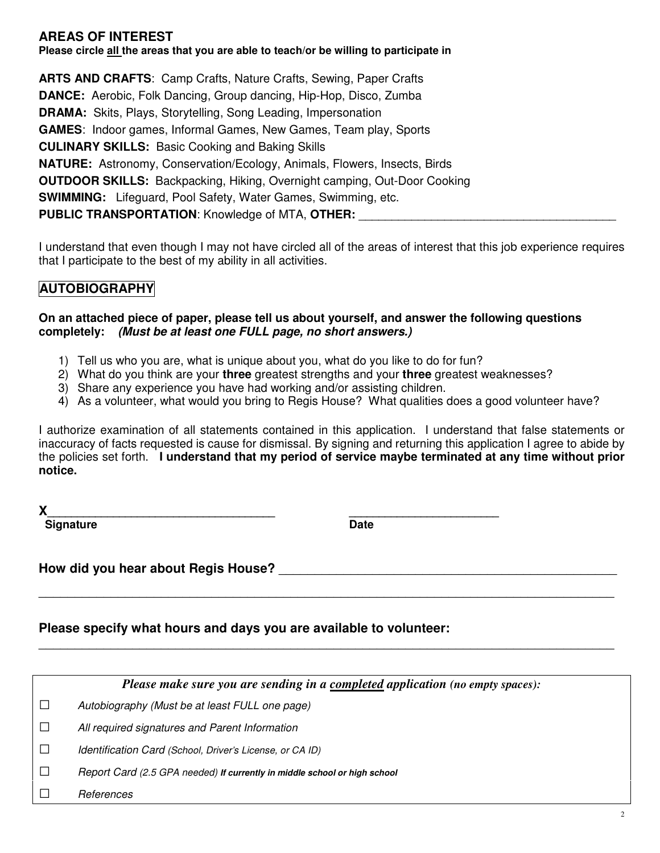## **AREAS OF INTEREST**

**Please circle all the areas that you are able to teach/or be willing to participate in** 

**ARTS AND CRAFTS**: Camp Crafts, Nature Crafts, Sewing, Paper Crafts **DANCE:** Aerobic, Folk Dancing, Group dancing, Hip-Hop, Disco, Zumba **DRAMA:** Skits, Plays, Storytelling, Song Leading, Impersonation **GAMES**: Indoor games, Informal Games, New Games, Team play, Sports **CULINARY SKILLS:** Basic Cooking and Baking Skills **NATURE:** Astronomy, Conservation/Ecology, Animals, Flowers, Insects, Birds **OUTDOOR SKILLS:** Backpacking, Hiking, Overnight camping, Out-Door Cooking **SWIMMING:** Lifeguard, Pool Safety, Water Games, Swimming, etc. **PUBLIC TRANSPORTATION: Knowledge of MTA, OTHER:** 

I understand that even though I may not have circled all of the areas of interest that this job experience requires that I participate to the best of my ability in all activities.

# **AUTOBIOGRAPHY**

### **On an attached piece of paper, please tell us about yourself, and answer the following questions completely: (Must be at least one FULL page, no short answers.)**

- 1) Tell us who you are, what is unique about you, what do you like to do for fun?
- 2) What do you think are your **three** greatest strengths and your **three** greatest weaknesses?
- 3) Share any experience you have had working and/or assisting children.
- 4) As a volunteer, what would you bring to Regis House? What qualities does a good volunteer have?

I authorize examination of all statements contained in this application. I understand that false statements or inaccuracy of facts requested is cause for dismissal. By signing and returning this application I agree to abide by the policies set forth. **I understand that my period of service maybe terminated at any time without prior notice.** 

**X\_\_\_\_\_\_\_\_\_\_\_\_\_\_\_\_\_\_\_\_\_\_\_\_\_\_\_\_\_\_\_\_\_\_\_\_\_\_ \_\_\_\_\_\_\_\_\_\_\_\_\_\_\_\_\_\_\_\_\_\_\_\_\_** 

**Signature Date Contract Contract Contract Contract Contract Contract Contract Contract Contract Contract Contract Contract Contract Contract Contract Contract Contract Contract Contract Contract Contract Contract Contract** 

**How did you hear about Regis House?** \_\_\_\_\_\_\_\_\_\_\_\_\_\_\_\_\_\_\_\_\_\_\_\_\_\_\_\_\_\_\_\_\_\_\_\_\_\_\_\_\_\_\_\_\_\_\_

**Please specify what hours and days you are available to volunteer:**

*Please make sure you are sending in a completed application (no empty spaces):* 

\_\_\_\_\_\_\_\_\_\_\_\_\_\_\_\_\_\_\_\_\_\_\_\_\_\_\_\_\_\_\_\_\_\_\_\_\_\_\_\_\_\_\_\_\_\_\_\_\_\_\_\_\_\_\_\_\_\_\_\_\_\_\_\_\_\_\_\_\_\_\_\_\_\_\_\_\_\_\_\_

\_\_\_\_\_\_\_\_\_\_\_\_\_\_\_\_\_\_\_\_\_\_\_\_\_\_\_\_\_\_\_\_\_\_\_\_\_\_\_\_\_\_\_\_\_\_\_\_\_\_\_\_\_\_\_\_\_\_\_\_\_\_\_\_\_\_\_\_\_\_\_\_\_\_\_\_\_\_\_\_

 $\square$  Autobiography (Must be at least FULL one page)

 $\square$  All required signatures and Parent Information

□ Identification Card (School, Driver's License, or CA ID)

□ Report Card (2.5 GPA needed) **If currently in middle school or high school**

□ References